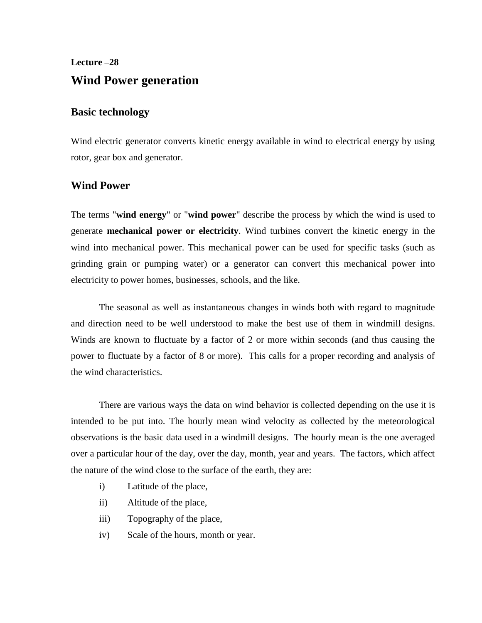# **Lecture –28 Wind Power generation**

# **Basic technology**

Wind electric generator converts kinetic energy available in wind to electrical energy by using rotor, gear box and generator.

# **Wind Power**

The terms "**wind energy**" or "**wind power**" describe the process by which the wind is used to generate **mechanical power or electricity**. Wind turbines convert the kinetic energy in the wind into mechanical power. This mechanical power can be used for specific tasks (such as grinding grain or pumping water) or a generator can convert this mechanical power into electricity to power homes, businesses, schools, and the like.

The seasonal as well as instantaneous changes in winds both with regard to magnitude and direction need to be well understood to make the best use of them in windmill designs. Winds are known to fluctuate by a factor of 2 or more within seconds (and thus causing the power to fluctuate by a factor of 8 or more). This calls for a proper recording and analysis of the wind characteristics.

There are various ways the data on wind behavior is collected depending on the use it is intended to be put into. The hourly mean wind velocity as collected by the meteorological observations is the basic data used in a windmill designs. The hourly mean is the one averaged over a particular hour of the day, over the day, month, year and years. The factors, which affect the nature of the wind close to the surface of the earth, they are:

- i) Latitude of the place,
- ii) Altitude of the place,
- iii) Topography of the place,
- iv) Scale of the hours, month or year.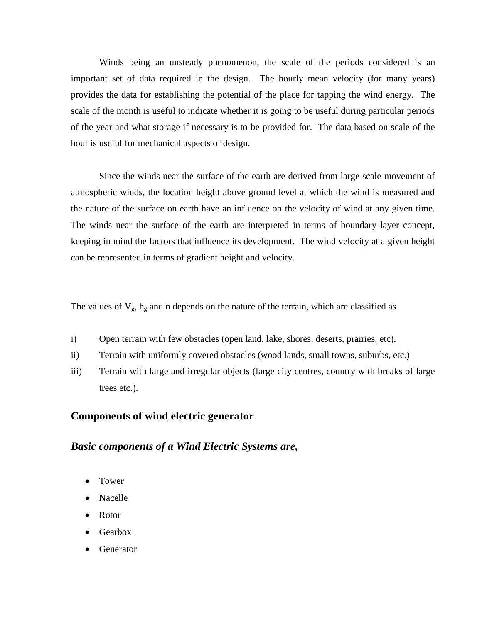Winds being an unsteady phenomenon, the scale of the periods considered is an important set of data required in the design. The hourly mean velocity (for many years) provides the data for establishing the potential of the place for tapping the wind energy. The scale of the month is useful to indicate whether it is going to be useful during particular periods of the year and what storage if necessary is to be provided for. The data based on scale of the hour is useful for mechanical aspects of design.

Since the winds near the surface of the earth are derived from large scale movement of atmospheric winds, the location height above ground level at which the wind is measured and the nature of the surface on earth have an influence on the velocity of wind at any given time. The winds near the surface of the earth are interpreted in terms of boundary layer concept, keeping in mind the factors that influence its development. The wind velocity at a given height can be represented in terms of gradient height and velocity.

The values of  $V_g$ ,  $h_g$  and n depends on the nature of the terrain, which are classified as

- i) Open terrain with few obstacles (open land, lake, shores, deserts, prairies, etc).
- ii) Terrain with uniformly covered obstacles (wood lands, small towns, suburbs, etc.)
- iii) Terrain with large and irregular objects (large city centres, country with breaks of large trees etc.).

### **Components of wind electric generator**

## *Basic components of a Wind Electric Systems are,*

- Tower
- Nacelle
- Rotor
- Gearbox
- Generator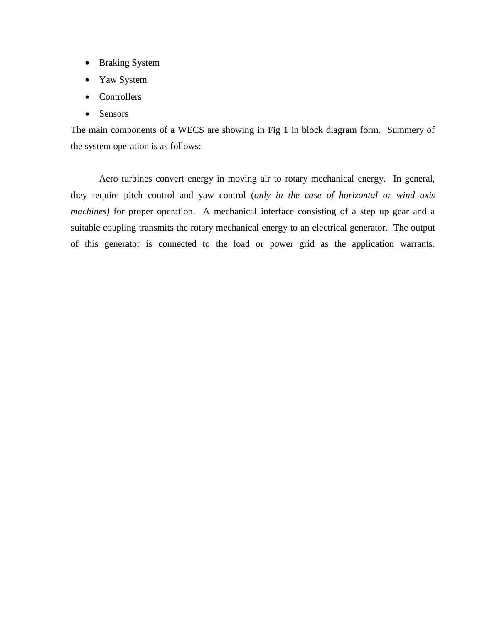- Braking System
- Yaw System
- Controllers
- Sensors

The main components of a WECS are showing in Fig 1 in block diagram form. Summery of the system operation is as follows:

Aero turbines convert energy in moving air to rotary mechanical energy. In general, they require pitch control and yaw control (*only in the case of horizontal or wind axis machines*) for proper operation. A mechanical interface consisting of a step up gear and a suitable coupling transmits the rotary mechanical energy to an electrical generator. The output of this generator is connected to the load or power grid as the application warrants.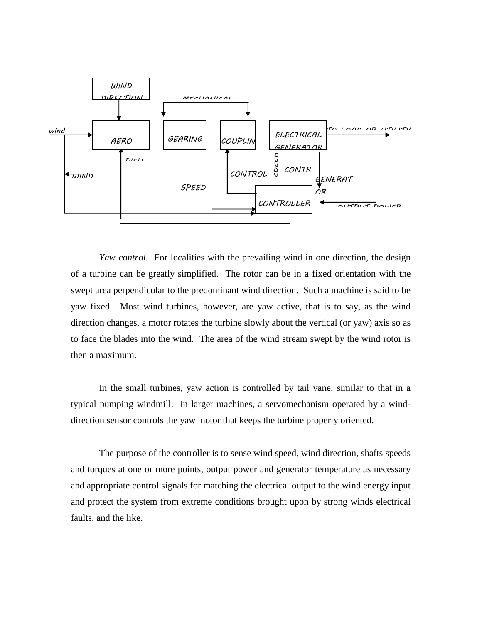

*Yaw control.* For localities with the prevailing wind in one direction, the design of a turbine can be greatly simplified. The rotor can be in a fixed orientation with the swept area perpendicular to the predominant wind direction. Such a machine is said to be yaw fixed. Most wind turbines, however, are yaw active, that is to say, as the wind direction changes, a motor rotates the turbine slowly about the vertical (or yaw) axis so as to face the blades into the wind. The area of the wind stream swept by the wind rotor is then a maximum.

In the small turbines, yaw action is controlled by tail vane, similar to that in a typical pumping windmill. In larger machines, a servomechanism operated by a winddirection sensor controls the yaw motor that keeps the turbine properly oriented.

The purpose of the controller is to sense wind speed, wind direction, shafts speeds and torques at one or more points, output power and generator temperature as necessary and appropriate control signals for matching the electrical output to the wind energy input and protect the system from extreme conditions brought upon by strong winds electrical faults, and the like.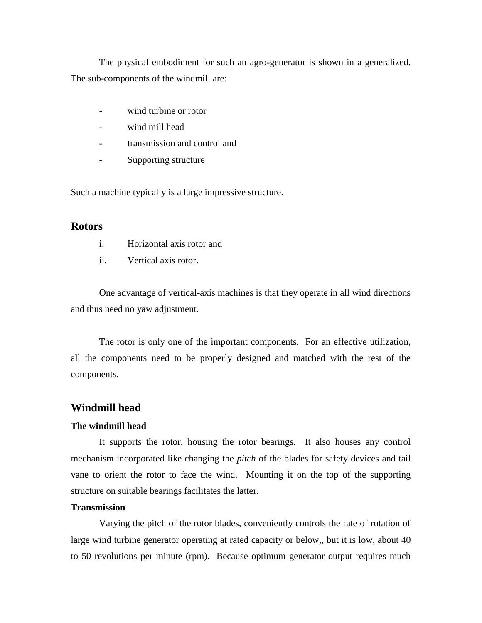The physical embodiment for such an agro-generator is shown in a generalized. The sub-components of the windmill are:

- wind turbine or rotor
- wind mill head
- transmission and control and
- Supporting structure

Such a machine typically is a large impressive structure.

## **Rotors**

- i. Horizontal axis rotor and
- ii. Vertical axis rotor.

One advantage of vertical-axis machines is that they operate in all wind directions and thus need no yaw adjustment.

The rotor is only one of the important components. For an effective utilization, all the components need to be properly designed and matched with the rest of the components.

# **Windmill head**

#### **The windmill head**

It supports the rotor, housing the rotor bearings. It also houses any control mechanism incorporated like changing the *pitch* of the blades for safety devices and tail vane to orient the rotor to face the wind. Mounting it on the top of the supporting structure on suitable bearings facilitates the latter.

## **Transmission**

Varying the pitch of the rotor blades, conveniently controls the rate of rotation of large wind turbine generator operating at rated capacity or below,, but it is low, about 40 to 50 revolutions per minute (rpm). Because optimum generator output requires much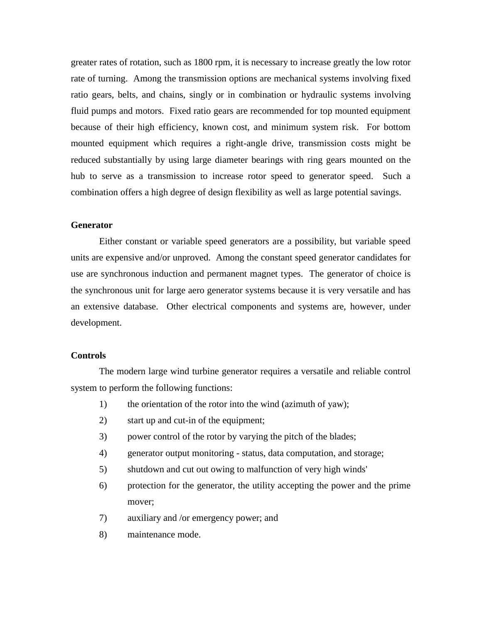greater rates of rotation, such as 1800 rpm, it is necessary to increase greatly the low rotor rate of turning. Among the transmission options are mechanical systems involving fixed ratio gears, belts, and chains, singly or in combination or hydraulic systems involving fluid pumps and motors. Fixed ratio gears are recommended for top mounted equipment because of their high efficiency, known cost, and minimum system risk. For bottom mounted equipment which requires a right-angle drive, transmission costs might be reduced substantially by using large diameter bearings with ring gears mounted on the hub to serve as a transmission to increase rotor speed to generator speed. Such a combination offers a high degree of design flexibility as well as large potential savings.

#### **Generator**

Either constant or variable speed generators are a possibility, but variable speed units are expensive and/or unproved. Among the constant speed generator candidates for use are synchronous induction and permanent magnet types. The generator of choice is the synchronous unit for large aero generator systems because it is very versatile and has an extensive database. Other electrical components and systems are, however, under development.

#### **Controls**

The modern large wind turbine generator requires a versatile and reliable control system to perform the following functions:

- 1) the orientation of the rotor into the wind (azimuth of yaw);
- 2) start up and cut-in of the equipment;
- 3) power control of the rotor by varying the pitch of the blades;
- 4) generator output monitoring status, data computation, and storage;
- 5) shutdown and cut out owing to malfunction of very high winds'
- 6) protection for the generator, the utility accepting the power and the prime mover;
- 7) auxiliary and /or emergency power; and
- 8) maintenance mode.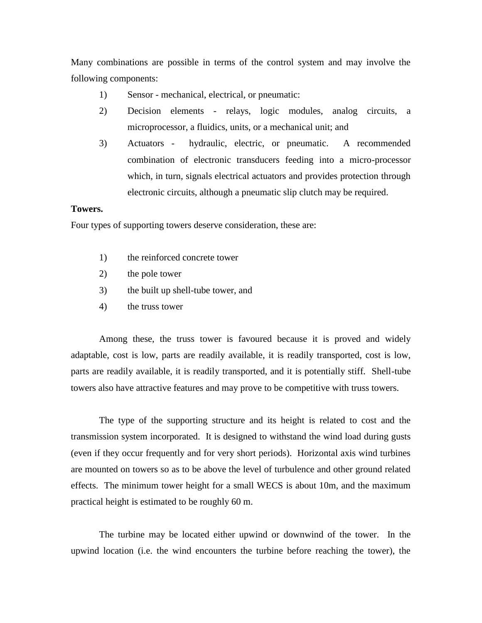Many combinations are possible in terms of the control system and may involve the following components:

- 1) Sensor mechanical, electrical, or pneumatic:
- 2) Decision elements relays, logic modules, analog circuits, a microprocessor, a fluidics, units, or a mechanical unit; and
- 3) Actuators hydraulic, electric, or pneumatic. A recommended combination of electronic transducers feeding into a micro-processor which, in turn, signals electrical actuators and provides protection through electronic circuits, although a pneumatic slip clutch may be required.

## **Towers.**

Four types of supporting towers deserve consideration, these are:

- 1) the reinforced concrete tower
- 2) the pole tower
- 3) the built up shell-tube tower, and
- 4) the truss tower

Among these, the truss tower is favoured because it is proved and widely adaptable, cost is low, parts are readily available, it is readily transported, cost is low, parts are readily available, it is readily transported, and it is potentially stiff. Shell-tube towers also have attractive features and may prove to be competitive with truss towers.

The type of the supporting structure and its height is related to cost and the transmission system incorporated. It is designed to withstand the wind load during gusts (even if they occur frequently and for very short periods). Horizontal axis wind turbines are mounted on towers so as to be above the level of turbulence and other ground related effects. The minimum tower height for a small WECS is about 10m, and the maximum practical height is estimated to be roughly 60 m.

The turbine may be located either upwind or downwind of the tower. In the upwind location (i.e. the wind encounters the turbine before reaching the tower), the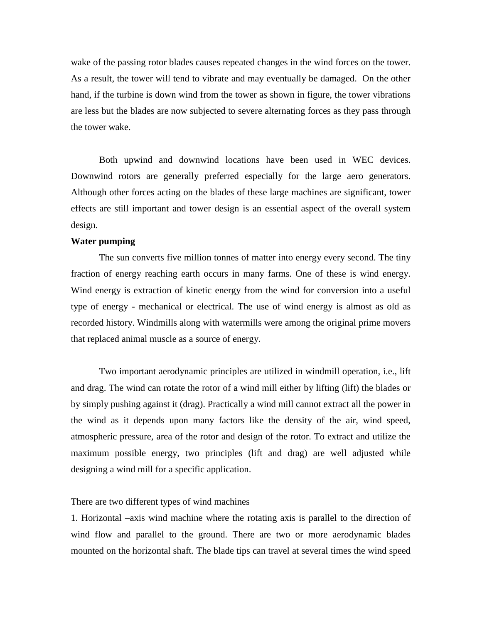wake of the passing rotor blades causes repeated changes in the wind forces on the tower. As a result, the tower will tend to vibrate and may eventually be damaged. On the other hand, if the turbine is down wind from the tower as shown in figure, the tower vibrations are less but the blades are now subjected to severe alternating forces as they pass through the tower wake.

Both upwind and downwind locations have been used in WEC devices. Downwind rotors are generally preferred especially for the large aero generators. Although other forces acting on the blades of these large machines are significant, tower effects are still important and tower design is an essential aspect of the overall system design.

#### **Water pumping**

The sun converts five million tonnes of matter into energy every second. The tiny fraction of energy reaching earth occurs in many farms. One of these is wind energy. Wind energy is extraction of kinetic energy from the wind for conversion into a useful type of energy - mechanical or electrical. The use of wind energy is almost as old as recorded history. Windmills along with watermills were among the original prime movers that replaced animal muscle as a source of energy.

Two important aerodynamic principles are utilized in windmill operation, i.e., lift and drag. The wind can rotate the rotor of a wind mill either by lifting (lift) the blades or by simply pushing against it (drag). Practically a wind mill cannot extract all the power in the wind as it depends upon many factors like the density of the air, wind speed, atmospheric pressure, area of the rotor and design of the rotor. To extract and utilize the maximum possible energy, two principles (lift and drag) are well adjusted while designing a wind mill for a specific application.

### There are two different types of wind machines

1. Horizontal –axis wind machine where the rotating axis is parallel to the direction of wind flow and parallel to the ground. There are two or more aerodynamic blades mounted on the horizontal shaft. The blade tips can travel at several times the wind speed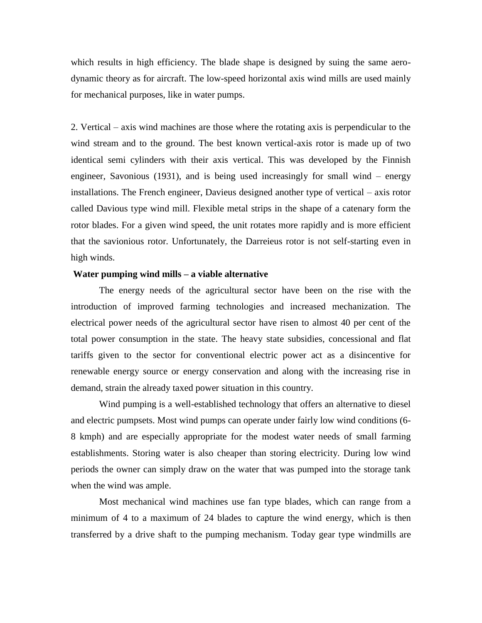which results in high efficiency. The blade shape is designed by suing the same aerodynamic theory as for aircraft. The low-speed horizontal axis wind mills are used mainly for mechanical purposes, like in water pumps.

2. Vertical – axis wind machines are those where the rotating axis is perpendicular to the wind stream and to the ground. The best known vertical-axis rotor is made up of two identical semi cylinders with their axis vertical. This was developed by the Finnish engineer, Savonious (1931), and is being used increasingly for small wind – energy installations. The French engineer, Davieus designed another type of vertical – axis rotor called Davious type wind mill. Flexible metal strips in the shape of a catenary form the rotor blades. For a given wind speed, the unit rotates more rapidly and is more efficient that the savionious rotor. Unfortunately, the Darreieus rotor is not self-starting even in high winds.

#### **Water pumping wind mills – a viable alternative**

The energy needs of the agricultural sector have been on the rise with the introduction of improved farming technologies and increased mechanization. The electrical power needs of the agricultural sector have risen to almost 40 per cent of the total power consumption in the state. The heavy state subsidies, concessional and flat tariffs given to the sector for conventional electric power act as a disincentive for renewable energy source or energy conservation and along with the increasing rise in demand, strain the already taxed power situation in this country.

Wind pumping is a well-established technology that offers an alternative to diesel and electric pumpsets. Most wind pumps can operate under fairly low wind conditions (6- 8 kmph) and are especially appropriate for the modest water needs of small farming establishments. Storing water is also cheaper than storing electricity. During low wind periods the owner can simply draw on the water that was pumped into the storage tank when the wind was ample.

Most mechanical wind machines use fan type blades, which can range from a minimum of 4 to a maximum of 24 blades to capture the wind energy, which is then transferred by a drive shaft to the pumping mechanism. Today gear type windmills are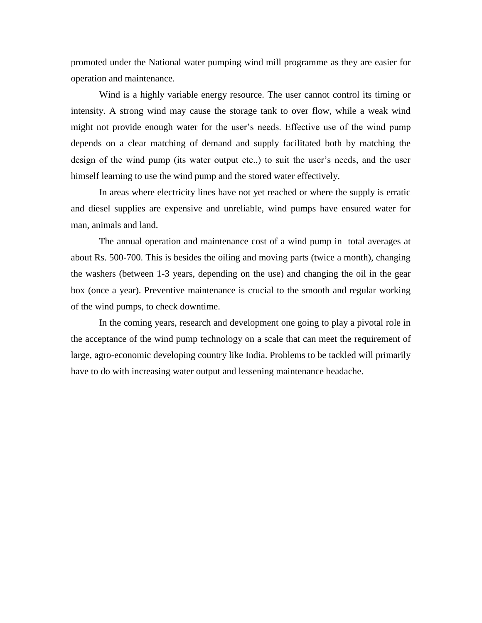promoted under the National water pumping wind mill programme as they are easier for operation and maintenance.

Wind is a highly variable energy resource. The user cannot control its timing or intensity. A strong wind may cause the storage tank to over flow, while a weak wind might not provide enough water for the user's needs. Effective use of the wind pump depends on a clear matching of demand and supply facilitated both by matching the design of the wind pump (its water output etc.,) to suit the user's needs, and the user himself learning to use the wind pump and the stored water effectively.

In areas where electricity lines have not yet reached or where the supply is erratic and diesel supplies are expensive and unreliable, wind pumps have ensured water for man, animals and land.

The annual operation and maintenance cost of a wind pump in total averages at about Rs. 500-700. This is besides the oiling and moving parts (twice a month), changing the washers (between 1-3 years, depending on the use) and changing the oil in the gear box (once a year). Preventive maintenance is crucial to the smooth and regular working of the wind pumps, to check downtime.

In the coming years, research and development one going to play a pivotal role in the acceptance of the wind pump technology on a scale that can meet the requirement of large, agro-economic developing country like India. Problems to be tackled will primarily have to do with increasing water output and lessening maintenance headache.